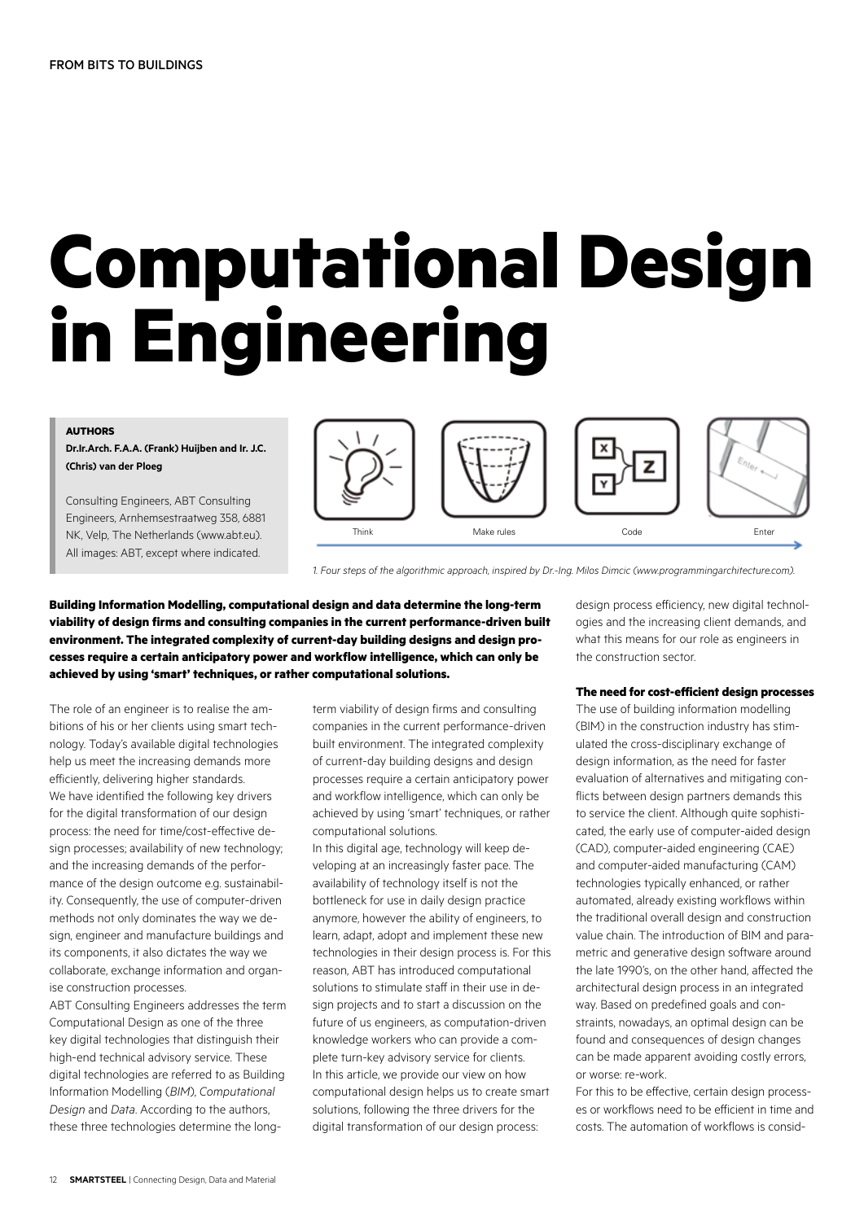# **Computational Design in Engineering**

#### **AUTHORS**

**Dr.Ir.Arch. F.A.A. (Frank) Huijben and Ir. J.C. (Chris) van der Ploeg**

Consulting Engineers, ABT Consulting Engineers, Arnhemsestraatweg 358, 6881 NK, Velp, The Netherlands (www.abt.eu). All images: ABT, except where indicated.



*1. Four steps of the algorithmic approach, inspired by Dr.-Ing. Milos Dimcic (www.programmingarchitecture.com).* 

**Building Information Modelling, computational design and data determine the long-term viability of design firms and consulting companies in the current performance-driven built environment. The integrated complexity of current-day building designs and design processes require a certain anticipatory power and workflow intelligence, which can only be achieved by using 'smart' techniques, or rather computational solutions.**

The role of an engineer is to realise the ambitions of his or her clients using smart technology. Today's available digital technologies help us meet the increasing demands more efficiently, delivering higher standards. We have identified the following key drivers for the digital transformation of our design process: the need for time/cost-effective design processes; availability of new technology; and the increasing demands of the performance of the design outcome e.g. sustainability. Consequently, the use of computer-driven methods not only dominates the way we design, engineer and manufacture buildings and its components, it also dictates the way we collaborate, exchange information and organise construction processes.

ABT Consulting Engineers addresses the term Computational Design as one of the three key digital technologies that distinguish their high-end technical advisory service. These digital technologies are referred to as Building Information Modelling (*BIM*), *Computational Design* and *Data*. According to the authors, these three technologies determine the longterm viability of design firms and consulting companies in the current performance-driven built environment. The integrated complexity of current-day building designs and design processes require a certain anticipatory power and workflow intelligence, which can only be achieved by using 'smart' techniques, or rather computational solutions.

In this digital age, technology will keep developing at an increasingly faster pace. The availability of technology itself is not the bottleneck for use in daily design practice anymore, however the ability of engineers, to learn, adapt, adopt and implement these new technologies in their design process is. For this reason, ABT has introduced computational solutions to stimulate staff in their use in design projects and to start a discussion on the future of us engineers, as computation-driven knowledge workers who can provide a complete turn-key advisory service for clients. In this article, we provide our view on how computational design helps us to create smart solutions, following the three drivers for the digital transformation of our design process:

design process efficiency, new digital technologies and the increasing client demands, and what this means for our role as engineers in the construction sector.

#### **The need for cost-efficient design processes**

The use of building information modelling (BIM) in the construction industry has stimulated the cross-disciplinary exchange of design information, as the need for faster evaluation of alternatives and mitigating conflicts between design partners demands this to service the client. Although quite sophisticated, the early use of computer-aided design (CAD), computer-aided engineering (CAE) and computer-aided manufacturing (CAM) technologies typically enhanced, or rather automated, already existing workflows within the traditional overall design and construction value chain. The introduction of BIM and parametric and generative design software around the late 1990's, on the other hand, affected the architectural design process in an integrated way. Based on predefined goals and constraints, nowadays, an optimal design can be found and consequences of design changes can be made apparent avoiding costly errors, or worse: re-work.

For this to be effective, certain design processes or workflows need to be efficient in time and costs. The automation of workflows is consid-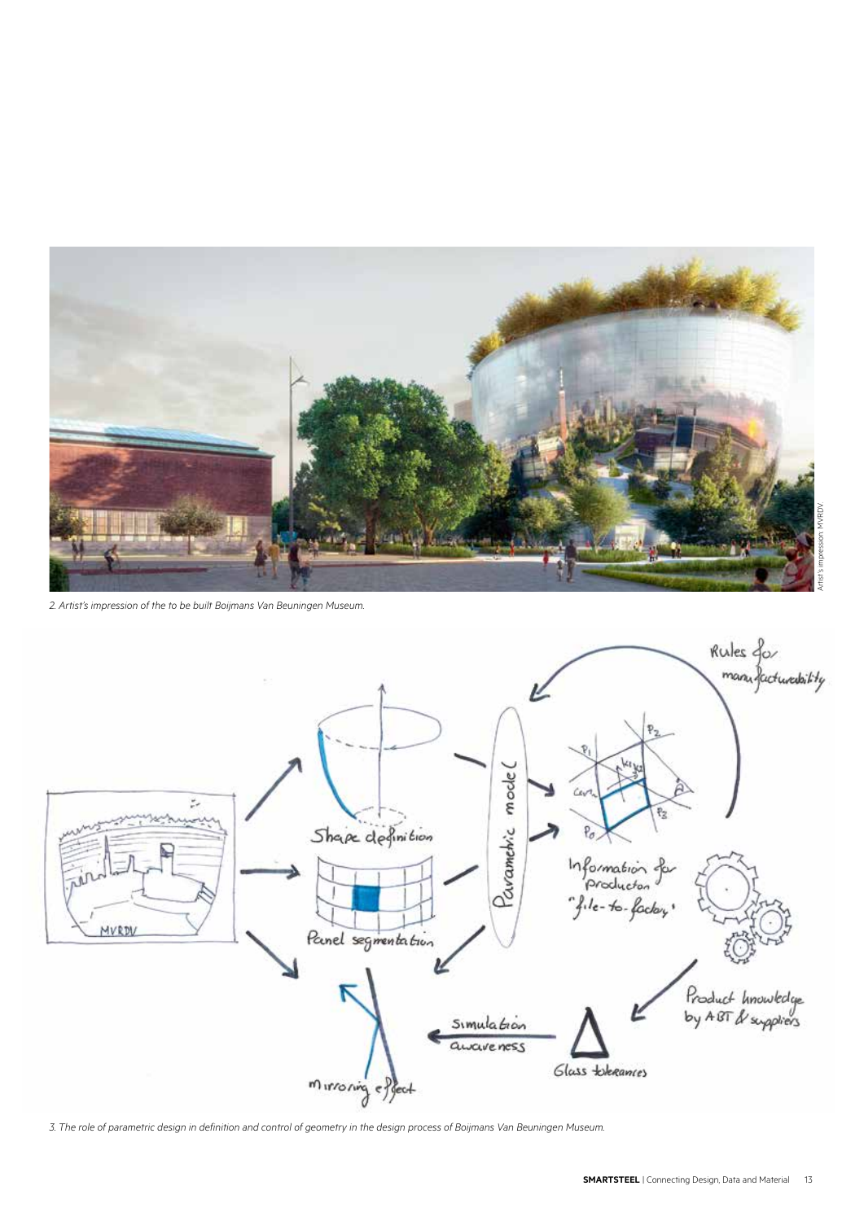

*2. Artist's impression of the to be built Boijmans Van Beuningen Museum.*



*3. The role of parametric design in definition and control of geometry in the design process of Boijmans Van Beuningen Museum.*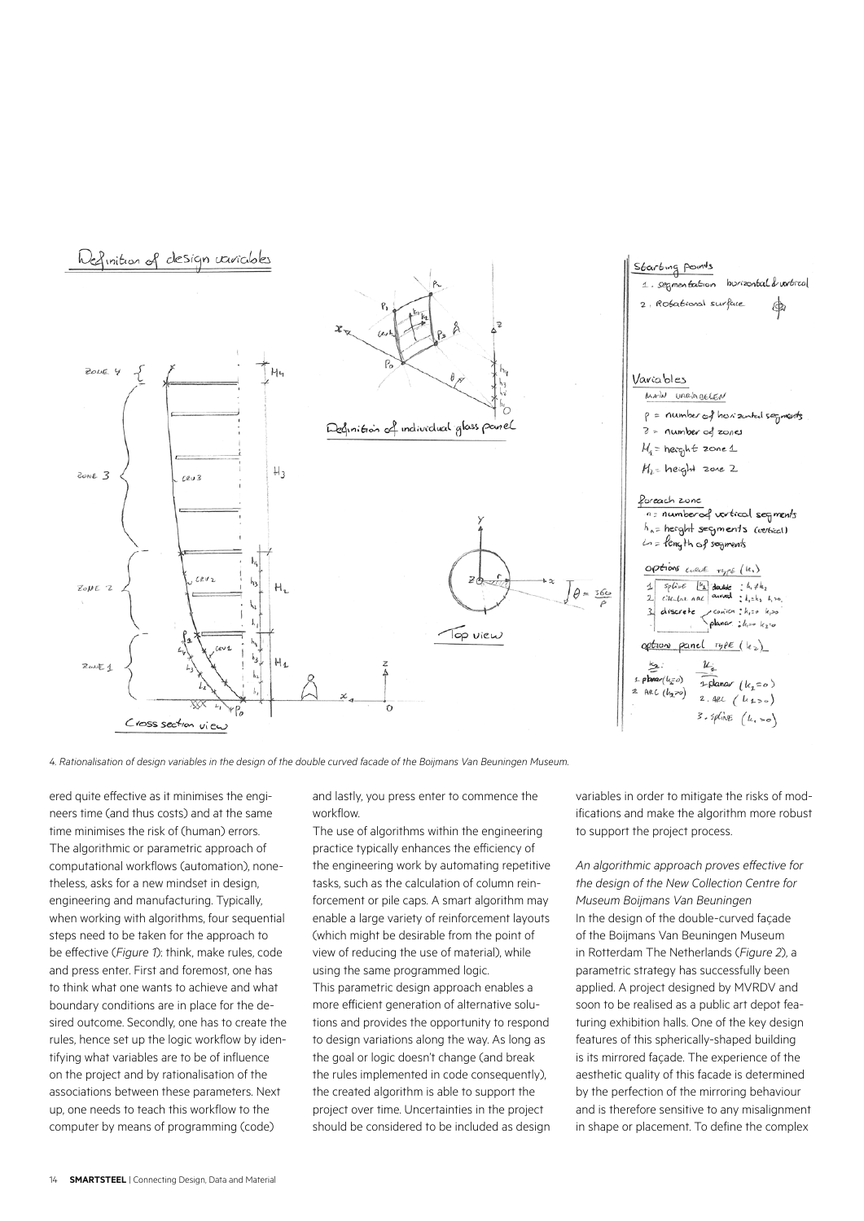

*4. Rationalisation of design variables in the design of the double curved facade of the Boijmans Van Beuningen Museum.*

ered quite effective as it minimises the engineers time (and thus costs) and at the same time minimises the risk of (human) errors. The algorithmic or parametric approach of computational workflows (automation), nonetheless, asks for a new mindset in design, engineering and manufacturing. Typically, when working with algorithms, four sequential steps need to be taken for the approach to be effective (*Figure 1*): think, make rules, code and press enter. First and foremost, one has to think what one wants to achieve and what boundary conditions are in place for the desired outcome. Secondly, one has to create the rules, hence set up the logic workflow by identifying what variables are to be of influence on the project and by rationalisation of the associations between these parameters. Next up, one needs to teach this workflow to the computer by means of programming (code)

and lastly, you press enter to commence the workflow.

The use of algorithms within the engineering practice typically enhances the efficiency of the engineering work by automating repetitive tasks, such as the calculation of column reinforcement or pile caps. A smart algorithm may enable a large variety of reinforcement layouts (which might be desirable from the point of view of reducing the use of material), while using the same programmed logic. This parametric design approach enables a more efficient generation of alternative solutions and provides the opportunity to respond to design variations along the way. As long as the goal or logic doesn't change (and break the rules implemented in code consequently). the created algorithm is able to support the project over time. Uncertainties in the project should be considered to be included as design variables in order to mitigate the risks of modifications and make the algorithm more robust to support the project process.

*An algorithmic approach proves effective for the design of the New Collection Centre for Museum Boijmans Van Beuningen* In the design of the double-curved façade of the Boijmans Van Beuningen Museum in Rotterdam The Netherlands (*Figure 2*), a parametric strategy has successfully been applied. A project designed by MVRDV and soon to be realised as a public art depot featuring exhibition halls. One of the key design features of this spherically-shaped building is its mirrored façade. The experience of the aesthetic quality of this facade is determined by the perfection of the mirroring behaviour and is therefore sensitive to any misalignment in shape or placement. To define the complex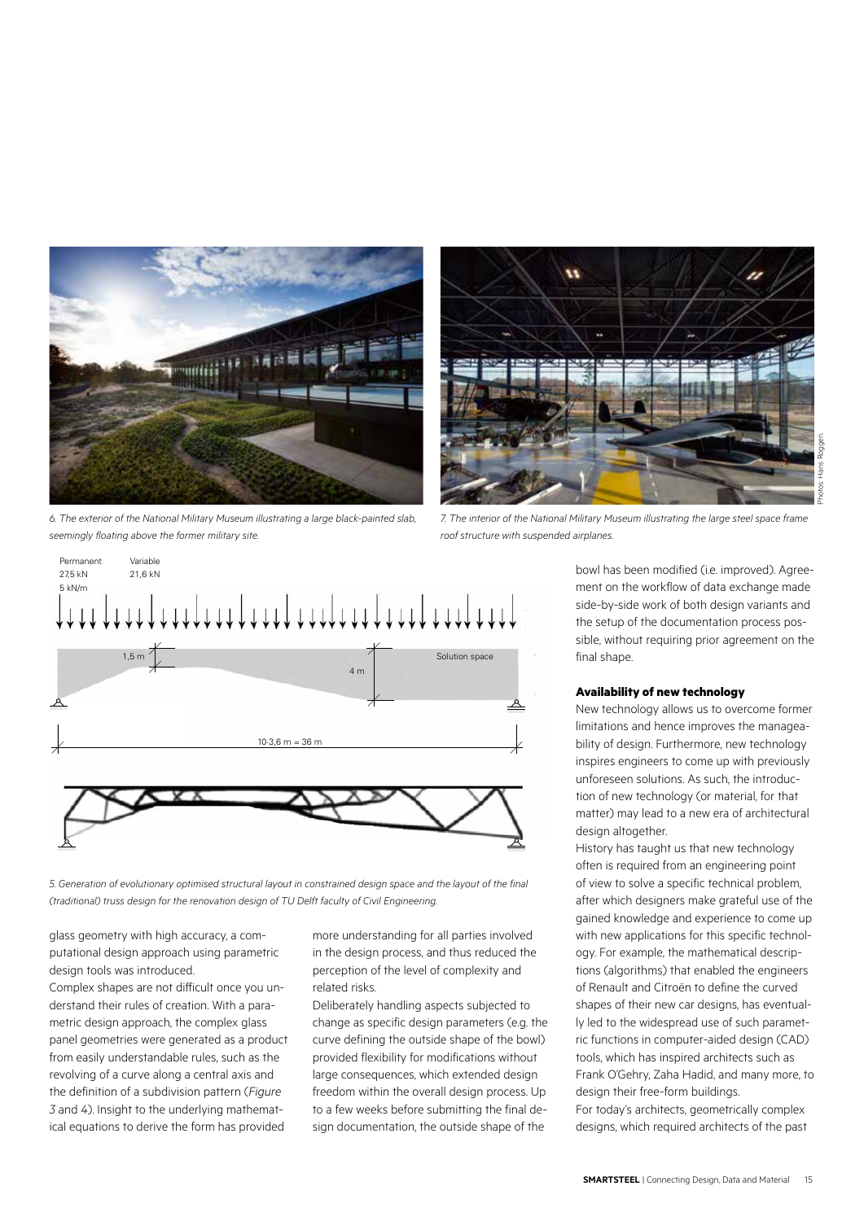

*6. The exterior of the National Military Museum illustrating a large black-painted slab, seemingly floating above the former military site.*



*5. Generation of evolutionary optimised structural layout in constrained design space and the layout of the final (traditional) truss design for the renovation design of TU Delft faculty of Civil Engineering.*

glass geometry with high accuracy, a computational design approach using parametric design tools was introduced.

Complex shapes are not difficult once you understand their rules of creation. With a parametric design approach, the complex glass panel geometries were generated as a product from easily understandable rules, such as the revolving of a curve along a central axis and the definition of a subdivision pattern (*Figure 3* and *4*). Insight to the underlying mathematical equations to derive the form has provided

more understanding for all parties involved in the design process, and thus reduced the perception of the level of complexity and related risks.

Deliberately handling aspects subjected to change as specific design parameters (e.g. the curve defining the outside shape of the bowl) provided flexibility for modifications without large consequences, which extended design freedom within the overall design process. Up to a few weeks before submitting the final design documentation, the outside shape of the

 $\overline{\mathbf{u}}$ 

*7. The interior of the National Military Museum illustrating the large steel space frame roof structure with suspended airplanes.*

bowl has been modified (i.e. improved). Agreement on the workflow of data exchange made side-by-side work of both design variants and the setup of the documentation process possible, without requiring prior agreement on the final shape.

#### **Availability of new technology**

New technology allows us to overcome former limitations and hence improves the manageability of design. Furthermore, new technology inspires engineers to come up with previously unforeseen solutions. As such, the introduction of new technology (or material, for that matter) may lead to a new era of architectural design altogether.

History has taught us that new technology often is required from an engineering point of view to solve a specific technical problem, after which designers make grateful use of the gained knowledge and experience to come up with new applications for this specific technology. For example, the mathematical descriptions (algorithms) that enabled the engineers of Renault and Citroën to define the curved shapes of their new car designs, has eventually led to the widespread use of such parametric functions in computer-aided design (CAD) tools, which has inspired architects such as Frank O'Gehry, Zaha Hadid, and many more, to design their free-form buildings. For today's architects, geometrically complex designs, which required architects of the past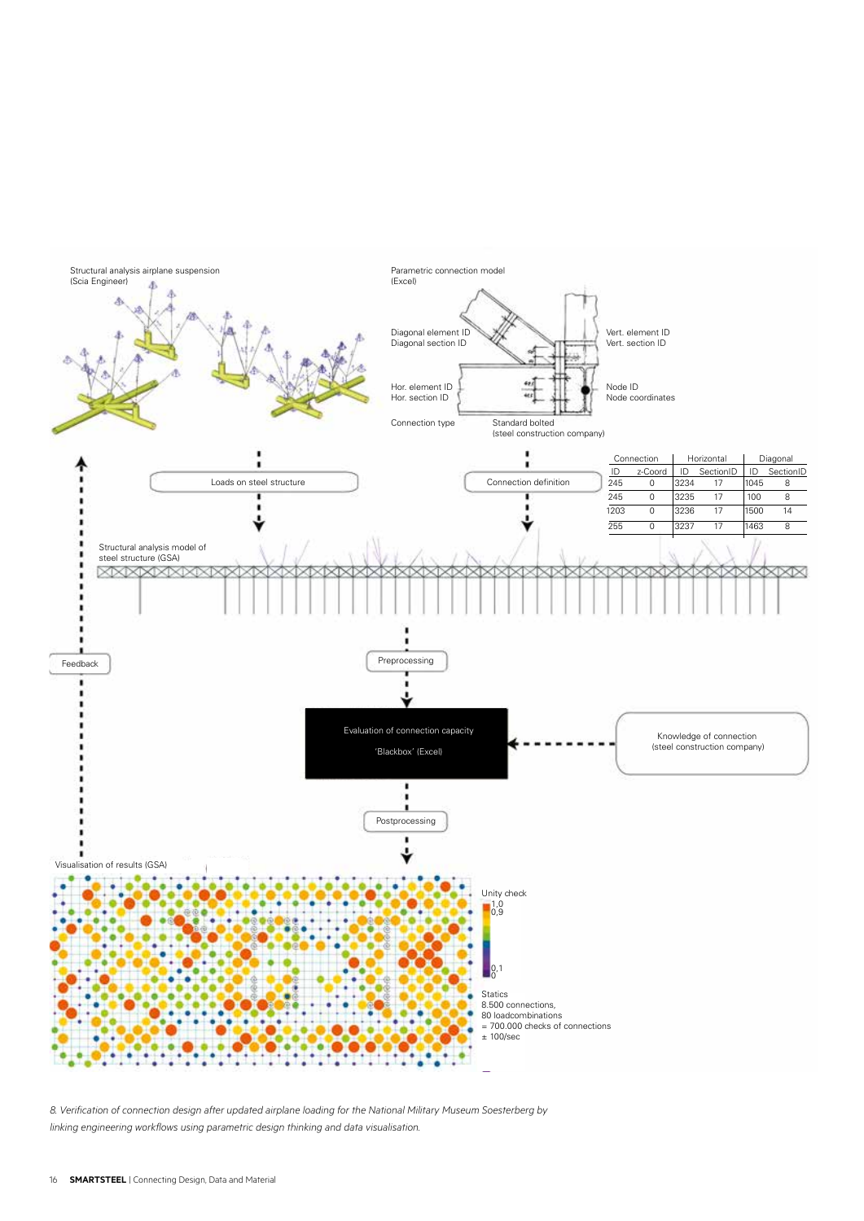

*8. Verification of connection design after updated airplane loading for the National Military Museum Soesterberg by linking engineering workflows using parametric design thinking and data visualisation.*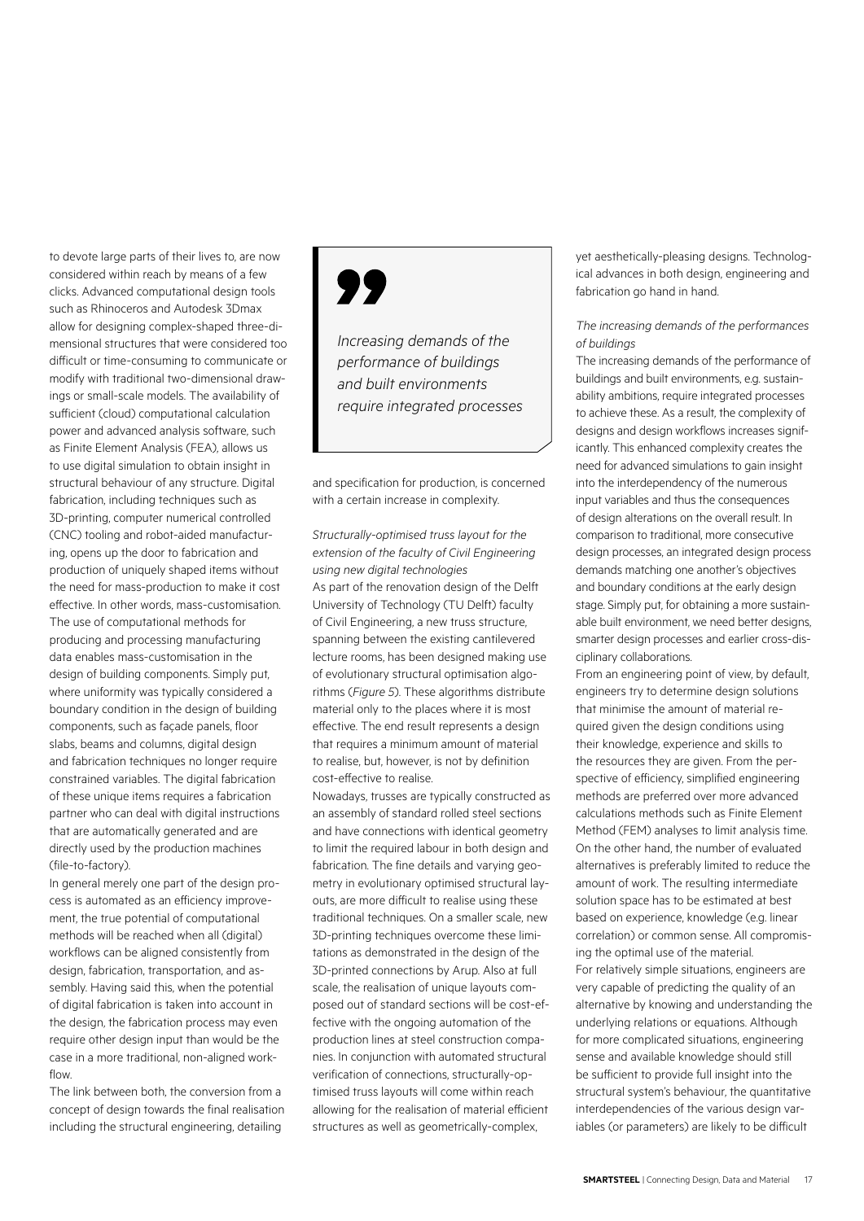to devote large parts of their lives to, are now considered within reach by means of a few clicks. Advanced computational design tools such as Rhinoceros and Autodesk 3Dmax allow for designing complex-shaped three-dimensional structures that were considered too difficult or time-consuming to communicate or modify with traditional two-dimensional drawings or small-scale models. The availability of sufficient (cloud) computational calculation power and advanced analysis software, such as Finite Element Analysis (FEA), allows us to use digital simulation to obtain insight in structural behaviour of any structure. Digital fabrication, including techniques such as 3D-printing, computer numerical controlled (CNC) tooling and robot-aided manufacturing, opens up the door to fabrication and production of uniquely shaped items without the need for mass-production to make it cost effective. In other words, mass-customisation. The use of computational methods for producing and processing manufacturing data enables mass-customisation in the design of building components. Simply put, where uniformity was typically considered a boundary condition in the design of building components, such as façade panels, floor slabs, beams and columns, digital design and fabrication techniques no longer require constrained variables. The digital fabrication of these unique items requires a fabrication partner who can deal with digital instructions that are automatically generated and are directly used by the production machines (file-to-factory).

In general merely one part of the design process is automated as an efficiency improvement, the true potential of computational methods will be reached when all (digital) workflows can be aligned consistently from design, fabrication, transportation, and assembly. Having said this, when the potential of digital fabrication is taken into account in the design, the fabrication process may even require other design input than would be the case in a more traditional, non-aligned workflow

The link between both, the conversion from a concept of design towards the final realisation including the structural engineering, detailing

# 99

*Increasing demands of the performance of buildings and built environments require integrated processes*

and specification for production, is concerned with a certain increase in complexity.

*Structurally-optimised truss layout for the extension of the faculty of Civil Engineering using new digital technologies* As part of the renovation design of the Delft University of Technology (TU Delft) faculty of Civil Engineering, a new truss structure, spanning between the existing cantilevered lecture rooms, has been designed making use of evolutionary structural optimisation algorithms (*Figure 5*). These algorithms distribute material only to the places where it is most effective. The end result represents a design that requires a minimum amount of material to realise, but, however, is not by definition cost-effective to realise.

Nowadays, trusses are typically constructed as an assembly of standard rolled steel sections and have connections with identical geometry to limit the required labour in both design and fabrication. The fine details and varying geometry in evolutionary optimised structural layouts, are more difficult to realise using these traditional techniques. On a smaller scale, new 3D-printing techniques overcome these limitations as demonstrated in the design of the 3D-printed connections by Arup. Also at full scale, the realisation of unique layouts composed out of standard sections will be cost-effective with the ongoing automation of the production lines at steel construction companies. In conjunction with automated structural verification of connections, structurally-optimised truss layouts will come within reach allowing for the realisation of material efficient structures as well as geometrically-complex,

yet aesthetically-pleasing designs. Technological advances in both design, engineering and fabrication go hand in hand.

# *The increasing demands of the performances of buildings*

The increasing demands of the performance of buildings and built environments, e.g. sustainability ambitions, require integrated processes to achieve these. As a result, the complexity of designs and design workflows increases significantly. This enhanced complexity creates the need for advanced simulations to gain insight into the interdependency of the numerous input variables and thus the consequences of design alterations on the overall result. In comparison to traditional, more consecutive design processes, an integrated design process demands matching one another's objectives and boundary conditions at the early design stage. Simply put, for obtaining a more sustainable built environment, we need better designs, smarter design processes and earlier cross-disciplinary collaborations.

From an engineering point of view, by default, engineers try to determine design solutions that minimise the amount of material required given the design conditions using their knowledge, experience and skills to the resources they are given. From the perspective of efficiency, simplified engineering methods are preferred over more advanced calculations methods such as Finite Element Method (FEM) analyses to limit analysis time. On the other hand, the number of evaluated alternatives is preferably limited to reduce the amount of work. The resulting intermediate solution space has to be estimated at best based on experience, knowledge (e.g. linear correlation) or common sense. All compromising the optimal use of the material. For relatively simple situations, engineers are very capable of predicting the quality of an alternative by knowing and understanding the underlying relations or equations. Although for more complicated situations, engineering sense and available knowledge should still be sufficient to provide full insight into the structural system's behaviour, the quantitative interdependencies of the various design variables (or parameters) are likely to be difficult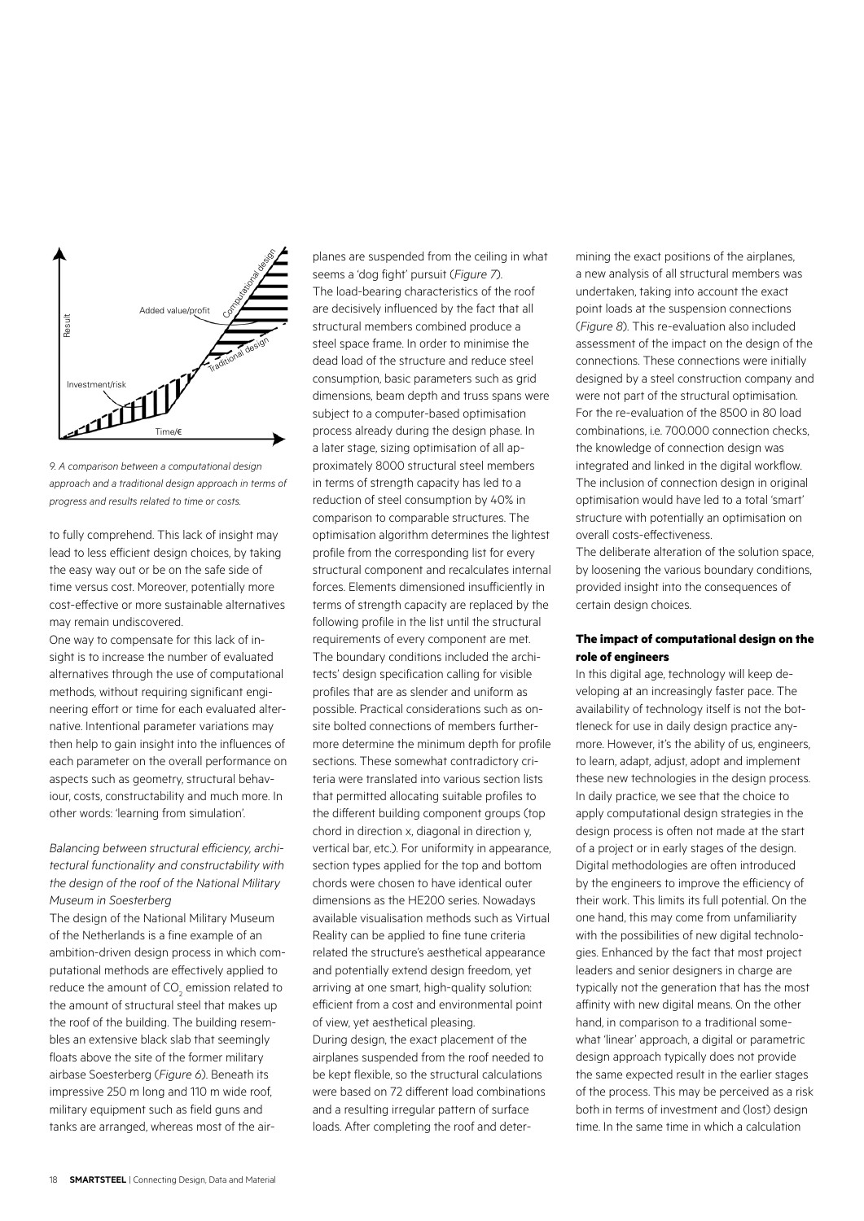

*9. A comparison between a computational design approach and a traditional design approach in terms of progress and results related to time or costs.*

to fully comprehend. This lack of insight may lead to less efficient design choices, by taking the easy way out or be on the safe side of time versus cost. Moreover, potentially more cost-effective or more sustainable alternatives may remain undiscovered.

One way to compensate for this lack of insight is to increase the number of evaluated alternatives through the use of computational methods, without requiring significant engineering effort or time for each evaluated alternative. Intentional parameter variations may then help to gain insight into the influences of each parameter on the overall performance on aspects such as geometry, structural behaviour, costs, constructability and much more. In other words: 'learning from simulation'.

# *Balancing between structural efficiency, architectural functionality and constructability with the design of the roof of the National Military Museum in Soesterberg*

The design of the National Military Museum of the Netherlands is a fine example of an ambition-driven design process in which computational methods are effectively applied to reduce the amount of  $\mathsf{CO}_2$  emission related to the amount of structural steel that makes up the roof of the building. The building resembles an extensive black slab that seemingly floats above the site of the former military airbase Soesterberg (*Figure 6*). Beneath its impressive 250 m long and 110 m wide roof military equipment such as field guns and tanks are arranged, whereas most of the air-

planes are suspended from the ceiling in what seems a 'dog fight' pursuit (*Figure 7*). The load-bearing characteristics of the roof are decisively influenced by the fact that all structural members combined produce a steel space frame. In order to minimise the dead load of the structure and reduce steel consumption, basic parameters such as grid dimensions, beam depth and truss spans were subject to a computer-based optimisation process already during the design phase. In a later stage, sizing optimisation of all approximately 8000 structural steel members in terms of strength capacity has led to a reduction of steel consumption by 40% in comparison to comparable structures. The optimisation algorithm determines the lightest profile from the corresponding list for every structural component and recalculates internal forces. Elements dimensioned insufficiently in terms of strength capacity are replaced by the following profile in the list until the structural requirements of every component are met. The boundary conditions included the architects' design specification calling for visible profiles that are as slender and uniform as possible. Practical considerations such as onsite bolted connections of members furthermore determine the minimum depth for profile sections. These somewhat contradictory criteria were translated into various section lists that permitted allocating suitable profiles to the different building component groups (top chord in direction x, diagonal in direction y, vertical bar, etc.). For uniformity in appearance, section types applied for the top and bottom chords were chosen to have identical outer dimensions as the HE200 series. Nowadays available visualisation methods such as Virtual Reality can be applied to fine tune criteria related the structure's aesthetical appearance and potentially extend design freedom, yet arriving at one smart, high-quality solution: efficient from a cost and environmental point of view, yet aesthetical pleasing. During design, the exact placement of the

airplanes suspended from the roof needed to be kept flexible, so the structural calculations were based on 72 different load combinations and a resulting irregular pattern of surface loads. After completing the roof and determining the exact positions of the airplanes, a new analysis of all structural members was undertaken, taking into account the exact point loads at the suspension connections (*Figure 8*). This re-evaluation also included assessment of the impact on the design of the connections. These connections were initially designed by a steel construction company and were not part of the structural optimisation. For the re-evaluation of the 8500 in 80 load combinations, i.e. 700.000 connection checks, the knowledge of connection design was integrated and linked in the digital workflow. The inclusion of connection design in original optimisation would have led to a total 'smart' structure with potentially an optimisation on overall costs-effectiveness.

The deliberate alteration of the solution space, by loosening the various boundary conditions, provided insight into the consequences of certain design choices.

#### **The impact of computational design on the role of engineers**

In this digital age, technology will keep developing at an increasingly faster pace. The availability of technology itself is not the bottleneck for use in daily design practice anymore. However, it's the ability of us, engineers, to learn, adapt, adjust, adopt and implement these new technologies in the design process. In daily practice, we see that the choice to apply computational design strategies in the design process is often not made at the start of a project or in early stages of the design. Digital methodologies are often introduced by the engineers to improve the efficiency of their work. This limits its full potential. On the one hand, this may come from unfamiliarity with the possibilities of new digital technologies. Enhanced by the fact that most project leaders and senior designers in charge are typically not the generation that has the most affinity with new digital means. On the other hand, in comparison to a traditional somewhat 'linear' approach, a digital or parametric design approach typically does not provide the same expected result in the earlier stages of the process. This may be perceived as a risk both in terms of investment and (lost) design time. In the same time in which a calculation